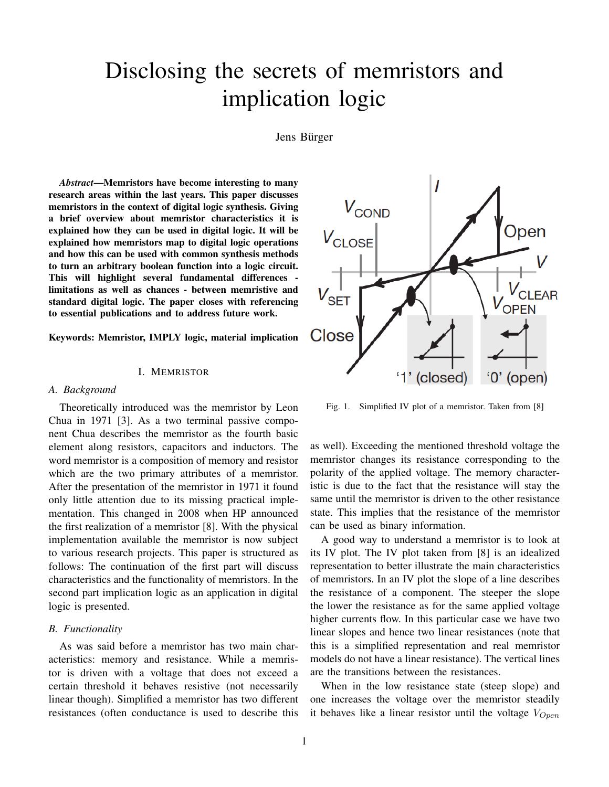# Disclosing the secrets of memristors and implication logic

Jens Bürger

*Abstract*—Memristors have become interesting to many research areas within the last years. This paper discusses memristors in the context of digital logic synthesis. Giving a brief overview about memristor characteristics it is explained how they can be used in digital logic. It will be explained how memristors map to digital logic operations and how this can be used with common synthesis methods to turn an arbitrary boolean function into a logic circuit. This will highlight several fundamental differences limitations as well as chances - between memristive and standard digital logic. The paper closes with referencing to essential publications and to address future work.

Keywords: Memristor, IMPLY logic, material implication

### I. MEMRISTOR

#### *A. Background*

Theoretically introduced was the memristor by Leon Chua in 1971 [3]. As a two terminal passive component Chua describes the memristor as the fourth basic element along resistors, capacitors and inductors. The word memristor is a composition of memory and resistor which are the two primary attributes of a memristor. After the presentation of the memristor in 1971 it found only little attention due to its missing practical implementation. This changed in 2008 when HP announced the first realization of a memristor [8]. With the physical implementation available the memristor is now subject to various research projects. This paper is structured as follows: The continuation of the first part will discuss characteristics and the functionality of memristors. In the second part implication logic as an application in digital logic is presented.

# *B. Functionality*

As was said before a memristor has two main characteristics: memory and resistance. While a memristor is driven with a voltage that does not exceed a certain threshold it behaves resistive (not necessarily linear though). Simplified a memristor has two different resistances (often conductance is used to describe this



Fig. 1. Simplified IV plot of a memristor. Taken from [8]

as well). Exceeding the mentioned threshold voltage the memristor changes its resistance corresponding to the polarity of the applied voltage. The memory characteristic is due to the fact that the resistance will stay the same until the memristor is driven to the other resistance state. This implies that the resistance of the memristor can be used as binary information.

A good way to understand a memristor is to look at its IV plot. The IV plot taken from [8] is an idealized representation to better illustrate the main characteristics of memristors. In an IV plot the slope of a line describes the resistance of a component. The steeper the slope the lower the resistance as for the same applied voltage higher currents flow. In this particular case we have two linear slopes and hence two linear resistances (note that this is a simplified representation and real memristor models do not have a linear resistance). The vertical lines are the transitions between the resistances.

When in the low resistance state (steep slope) and one increases the voltage over the memristor steadily it behaves like a linear resistor until the voltage  $V_{Open}$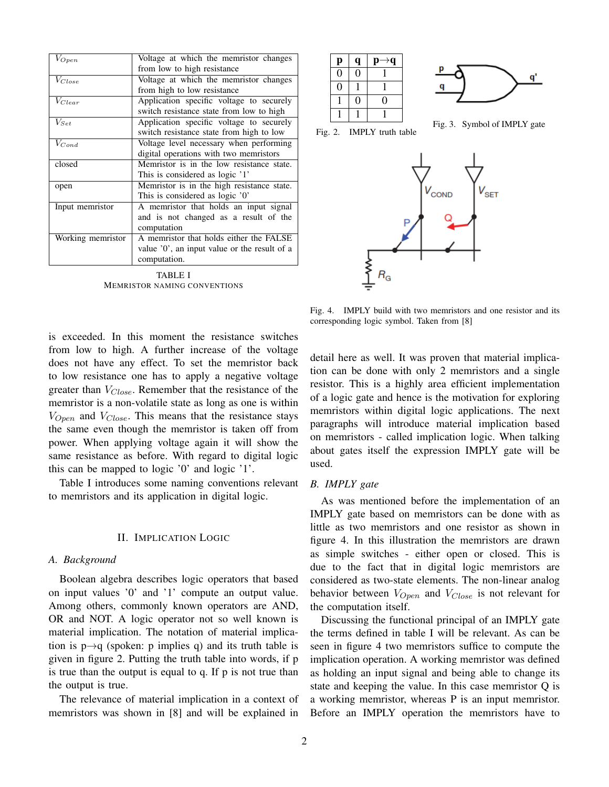| $V_{Open}$        | Voltage at which the memristor changes       |
|-------------------|----------------------------------------------|
|                   | from low to high resistance                  |
| $V_{Close}$       | Voltage at which the memristor changes       |
|                   | from high to low resistance                  |
| $V_{Clear}$       | Application specific voltage to securely     |
|                   | switch resistance state from low to high     |
| $V_{Set}$         | Application specific voltage to securely     |
|                   | switch resistance state from high to low     |
| $V_{Cond}$        | Voltage level necessary when performing      |
|                   | digital operations with two memristors       |
| closed            | Memristor is in the low resistance state.    |
|                   | This is considered as logic '1'              |
| open              | Memristor is in the high resistance state.   |
|                   | This is considered as logic '0'              |
| Input memristor   | A memristor that holds an input signal       |
|                   | and is not changed as a result of the        |
|                   | computation                                  |
| Working memristor | A memristor that holds either the FALSE      |
|                   | value '0', an input value or the result of a |
|                   | computation.                                 |
|                   |                                              |

TABLE I MEMRISTOR NAMING CONVENTIONS

is exceeded. In this moment the resistance switches from low to high. A further increase of the voltage does not have any effect. To set the memristor back to low resistance one has to apply a negative voltage greater than  $V_{Close}$ . Remember that the resistance of the memristor is a non-volatile state as long as one is within  $V_{Open}$  and  $V_{Close}$ . This means that the resistance stays the same even though the memristor is taken off from power. When applying voltage again it will show the same resistance as before. With regard to digital logic this can be mapped to logic '0' and logic '1'.

Table I introduces some naming conventions relevant to memristors and its application in digital logic.

#### II. IMPLICATION LOGIC

#### *A. Background*

Boolean algebra describes logic operators that based on input values '0' and '1' compute an output value. Among others, commonly known operators are AND, OR and NOT. A logic operator not so well known is material implication. The notation of material implication is  $p \rightarrow q$  (spoken: p implies q) and its truth table is given in figure 2. Putting the truth table into words, if p is true than the output is equal to q. If p is not true than the output is true.

The relevance of material implication in a context of memristors was shown in [8] and will be explained in

| р |  |                         |
|---|--|-------------------------|
|   |  |                         |
|   |  |                         |
|   |  |                         |
|   |  |                         |
|   |  | Fig. 3. Symbol of IMPLY |

Fig. 2. IMPLY truth table

gate

q'



Fig. 4. IMPLY build with two memristors and one resistor and its corresponding logic symbol. Taken from [8]

detail here as well. It was proven that material implication can be done with only 2 memristors and a single resistor. This is a highly area efficient implementation of a logic gate and hence is the motivation for exploring memristors within digital logic applications. The next paragraphs will introduce material implication based on memristors - called implication logic. When talking about gates itself the expression IMPLY gate will be used.

#### *B. IMPLY gate*

As was mentioned before the implementation of an IMPLY gate based on memristors can be done with as little as two memristors and one resistor as shown in figure 4. In this illustration the memristors are drawn as simple switches - either open or closed. This is due to the fact that in digital logic memristors are considered as two-state elements. The non-linear analog behavior between  $V_{Open}$  and  $V_{Close}$  is not relevant for the computation itself.

Discussing the functional principal of an IMPLY gate the terms defined in table I will be relevant. As can be seen in figure 4 two memristors suffice to compute the implication operation. A working memristor was defined as holding an input signal and being able to change its state and keeping the value. In this case memristor Q is a working memristor, whereas P is an input memristor. Before an IMPLY operation the memristors have to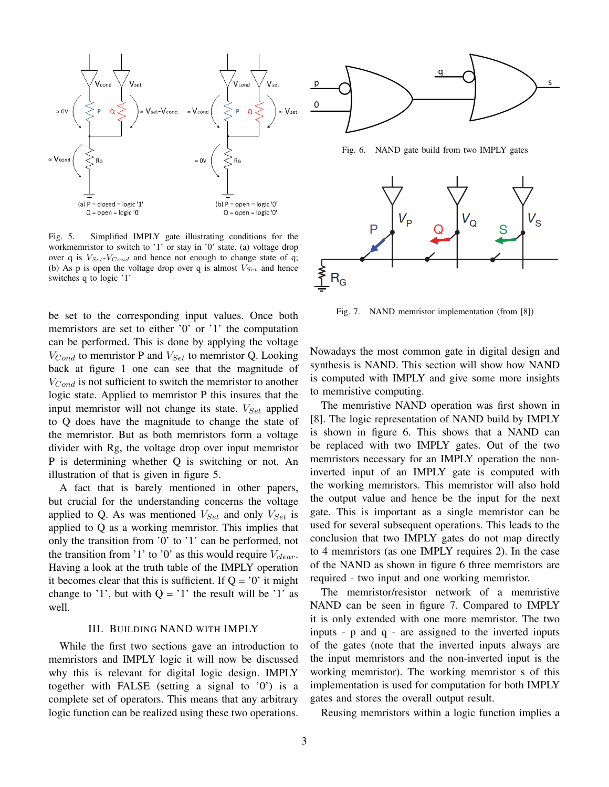

Fig. 5. Simplified IMPLY gate illustrating conditions for the workmemristor to switch to '1' or stay in '0' state. (a) voltage drop over q is  $V_{Set}$ - $V_{Cond}$  and hence not enough to change state of q; (b) As p is open the voltage drop over q is almost  $V_{Set}$  and hence switches q to logic '1'

be set to the corresponding input values. Once both memristors are set to either '0' or '1' the computation can be performed. This is done by applying the voltage  $V_{Cond}$  to memristor P and  $V_{Set}$  to memristor Q. Looking back at figure 1 one can see that the magnitude of  $V_{Cond}$  is not sufficient to switch the memristor to another logic state. Applied to memristor P this insures that the input memristor will not change its state.  $V_{Set}$  applied to Q does have the magnitude to change the state of the memristor. But as both memristors form a voltage divider with Rg, the voltage drop over input memristor P is determining whether Q is switching or not. An illustration of that is given in figure 5.

A fact that is barely mentioned in other papers, but crucial for the understanding concerns the voltage applied to Q. As was mentioned  $V_{Set}$  and only  $V_{Set}$  is applied to Q as a working memristor. This implies that only the transition from '0' to '1' can be performed, not the transition from '1' to '0' as this would require  $V_{clear}$ . Having a look at the truth table of the IMPLY operation it becomes clear that this is sufficient. If  $Q = '0'$  it might change to '1', but with  $Q = '1'$  the result will be '1' as well.

#### III. BUILDING NAND WITH IMPLY

While the first two sections gave an introduction to memristors and IMPLY logic it will now be discussed why this is relevant for digital logic design. IMPLY together with FALSE (setting a signal to '0') is a complete set of operators. This means that any arbitrary logic function can be realized using these two operations.



Fig. 7. NAND memristor implementation (from [8])

Nowadays the most common gate in digital design and synthesis is NAND. This section will show how NAND is computed with IMPLY and give some more insights to memristive computing.

The memristive NAND operation was first shown in [8]. The logic representation of NAND build by IMPLY is shown in figure 6. This shows that a NAND can be replaced with two IMPLY gates. Out of the two memristors necessary for an IMPLY operation the noninverted input of an IMPLY gate is computed with the working memristors. This memristor will also hold the output value and hence be the input for the next gate. This is important as a single memristor can be used for several subsequent operations. This leads to the conclusion that two IMPLY gates do not map directly to 4 memristors (as one IMPLY requires 2). In the case of the NAND as shown in figure 6 three memristors are required - two input and one working memristor.

The memristor/resistor network of a memristive NAND can be seen in figure 7. Compared to IMPLY it is only extended with one more memristor. The two inputs - p and q - are assigned to the inverted inputs of the gates (note that the inverted inputs always are the input memristors and the non-inverted input is the working memristor). The working memristor s of this implementation is used for computation for both IMPLY gates and stores the overall output result.

Reusing memristors within a logic function implies a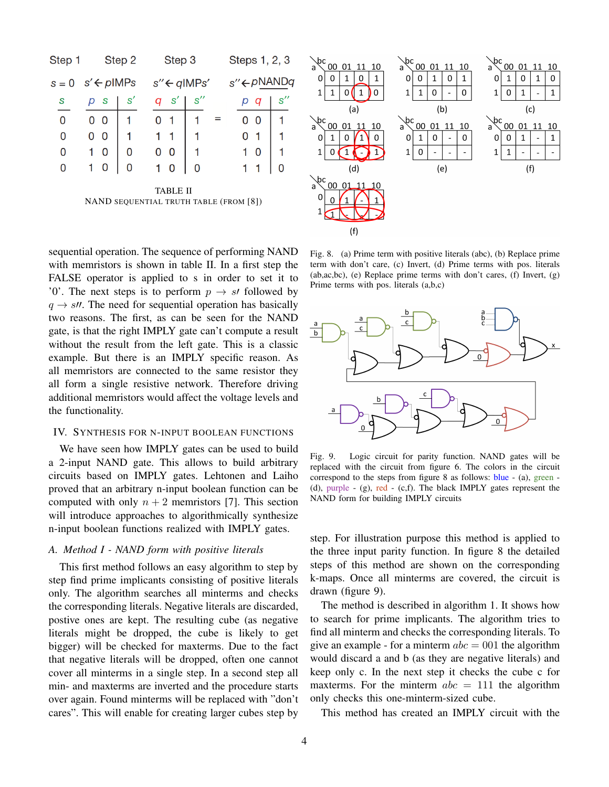| Step 1                                                    |                                   | Step 2        | Step 3                  |     | Steps 1, 2, 3         |     | \bc<br>00 01 11 10<br>a`                      | \bc<br>00 01 11 10<br>$a^{\setminus}$                                                   | \bc<br>00011110<br>a`                         |
|-----------------------------------------------------------|-----------------------------------|---------------|-------------------------|-----|-----------------------|-----|-----------------------------------------------|-----------------------------------------------------------------------------------------|-----------------------------------------------|
|                                                           | $s = 0 \quad s' \leftarrow plMPs$ |               | $s'' \leftarrow qIMPs'$ |     | s"←pNANDq             |     | 0<br>0<br>1<br>$\overline{0}$<br>1<br>1<br>DΟ | 0<br>0<br>0<br>1<br>$\mathbf 0$<br>$\mathbf{1}$<br>$\Omega$<br>$\overline{\phantom{a}}$ | $\Omega$<br>0<br>0<br>$\mathbf{0}$<br>1       |
| S                                                         | S<br>р                            | $\mathbf{S}'$ | $\mathcal{S}'$<br>q     | s'' | р<br>q                | s'' | (a)                                           | (b)                                                                                     | $\overline{\phantom{0}}$<br>(c)               |
| $\Omega$                                                  | 0 <sub>0</sub>                    |               | 0                       |     | $\mathbf 0$<br>=<br>0 |     | \bc<br>00 01 11<br>- 10<br>a`                 | $\sqrt{bc}$<br>00<br>01 11<br>-10<br>$a^{\setminus}$                                    | \bc<br>00 01 11<br>10<br>a                    |
| 0                                                         | 0 <sub>0</sub>                    |               |                         |     | 0                     |     | 0                                             | $\Omega$<br>$\Omega$<br>0<br>$\overline{\phantom{a}}$                                   | 0<br>$\mathbf{0}$<br>$\overline{\phantom{a}}$ |
| 0                                                         | 0                                 | 0             | $\mathbf{0}$<br>0       |     | $\mathbf 0$           |     |                                               | $\mathbf 1$<br>$\mathbf{0}$                                                             |                                               |
| 0                                                         | 0                                 | 0             | 0                       | 0   |                       | 0   | (d)                                           | (e)                                                                                     | (f)                                           |
| <b>TABLE II</b><br>NAND SEQUENTIAL TRUTH TABLE (FROM [8]) |                                   |               |                         |     |                       |     | ∖bc<br>00 01 11 10<br>a<br>0                  |                                                                                         |                                               |

 $(f)$ 

sequential operation. The sequence of performing NAND with memristors is shown in table II. In a first step the FALSE operator is applied to s in order to set it to '0'. The next steps is to perform  $p \rightarrow s$  followed by  $q \rightarrow s\prime\prime$ . The need for sequential operation has basically two reasons. The first, as can be seen for the NAND gate, is that the right IMPLY gate can't compute a result without the result from the left gate. This is a classic example. But there is an IMPLY specific reason. As all memristors are connected to the same resistor they all form a single resistive network. Therefore driving additional memristors would affect the voltage levels and the functionality.

# IV. SYNTHESIS FOR N-INPUT BOOLEAN FUNCTIONS

We have seen how IMPLY gates can be used to build a 2-input NAND gate. This allows to build arbitrary circuits based on IMPLY gates. Lehtonen and Laiho proved that an arbitrary n-input boolean function can be computed with only  $n + 2$  memristors [7]. This section will introduce approaches to algorithmically synthesize n-input boolean functions realized with IMPLY gates.

#### *A. Method I - NAND form with positive literals*

This first method follows an easy algorithm to step by step find prime implicants consisting of positive literals only. The algorithm searches all minterms and checks the corresponding literals. Negative literals are discarded, postive ones are kept. The resulting cube (as negative literals might be dropped, the cube is likely to get bigger) will be checked for maxterms. Due to the fact that negative literals will be dropped, often one cannot cover all minterms in a single step. In a second step all min- and maxterms are inverted and the procedure starts over again. Found minterms will be replaced with "don't cares". This will enable for creating larger cubes step by

Fig. 8. (a) Prime term with positive literals (abc), (b) Replace prime term with don't care, (c) Invert, (d) Prime terms with pos. literals  $(ab,ac,bc)$ ,  $(e)$  Replace prime terms with don't cares,  $(f)$  Invert,  $(g)$ Prime terms with pos. literals (a,b,c)



Fig. 9. Logic circuit for parity function. NAND gates will be replaced with the circuit from figure 6. The colors in the circuit correspond to the steps from figure 8 as follows: blue - (a), green - (d), purple -  $(g)$ , red -  $(c,f)$ . The black IMPLY gates represent the NAND form for building IMPLY circuits

step. For illustration purpose this method is applied to the three input parity function. In figure 8 the detailed steps of this method are shown on the corresponding k-maps. Once all minterms are covered, the circuit is drawn (figure 9).

The method is described in algorithm 1. It shows how to search for prime implicants. The algorithm tries to find all minterm and checks the corresponding literals. To give an example - for a minterm  $abc = 001$  the algorithm would discard a and b (as they are negative literals) and keep only c. In the next step it checks the cube c for maxterms. For the minterm  $abc = 111$  the algorithm only checks this one-minterm-sized cube.

This method has created an IMPLY circuit with the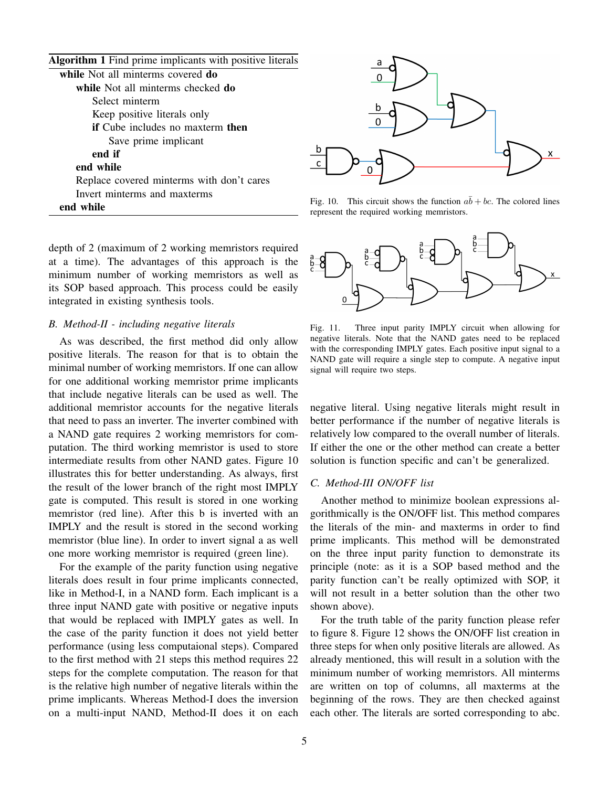| <b>Algorithm 1</b> Find prime implicants with positive literals |
|-----------------------------------------------------------------|
| while Not all minterms covered do                               |
| while Not all minterms checked do                               |
| Select minterm                                                  |
| Keep positive literals only                                     |
| if Cube includes no maxterm then                                |
| Save prime implicant                                            |
| end if                                                          |
| end while                                                       |
| Replace covered minterms with don't cares                       |
| Invert minterms and maxterms                                    |
| end while                                                       |



Fig. 10. This circuit shows the function  $a\bar{b} + bc$ . The colored lines represent the required working memristors.

depth of 2 (maximum of 2 working memristors required at a time). The advantages of this approach is the minimum number of working memristors as well as its SOP based approach. This process could be easily integrated in existing synthesis tools.

# *B. Method-II - including negative literals*

As was described, the first method did only allow positive literals. The reason for that is to obtain the minimal number of working memristors. If one can allow for one additional working memristor prime implicants that include negative literals can be used as well. The additional memristor accounts for the negative literals that need to pass an inverter. The inverter combined with a NAND gate requires 2 working memristors for computation. The third working memristor is used to store intermediate results from other NAND gates. Figure 10 illustrates this for better understanding. As always, first the result of the lower branch of the right most IMPLY gate is computed. This result is stored in one working memristor (red line). After this b is inverted with an IMPLY and the result is stored in the second working memristor (blue line). In order to invert signal a as well one more working memristor is required (green line).

For the example of the parity function using negative literals does result in four prime implicants connected, like in Method-I, in a NAND form. Each implicant is a three input NAND gate with positive or negative inputs that would be replaced with IMPLY gates as well. In the case of the parity function it does not yield better performance (using less computaional steps). Compared to the first method with 21 steps this method requires 22 steps for the complete computation. The reason for that is the relative high number of negative literals within the prime implicants. Whereas Method-I does the inversion on a multi-input NAND, Method-II does it on each



Fig. 11. Three input parity IMPLY circuit when allowing for negative literals. Note that the NAND gates need to be replaced with the corresponding IMPLY gates. Each positive input signal to a NAND gate will require a single step to compute. A negative input signal will require two steps.

negative literal. Using negative literals might result in better performance if the number of negative literals is relatively low compared to the overall number of literals. If either the one or the other method can create a better solution is function specific and can't be generalized.

# *C. Method-III ON/OFF list*

Another method to minimize boolean expressions algorithmically is the ON/OFF list. This method compares the literals of the min- and maxterms in order to find prime implicants. This method will be demonstrated on the three input parity function to demonstrate its principle (note: as it is a SOP based method and the parity function can't be really optimized with SOP, it will not result in a better solution than the other two shown above).

For the truth table of the parity function please refer to figure 8. Figure 12 shows the ON/OFF list creation in three steps for when only positive literals are allowed. As already mentioned, this will result in a solution with the minimum number of working memristors. All minterms are written on top of columns, all maxterms at the beginning of the rows. They are then checked against each other. The literals are sorted corresponding to abc.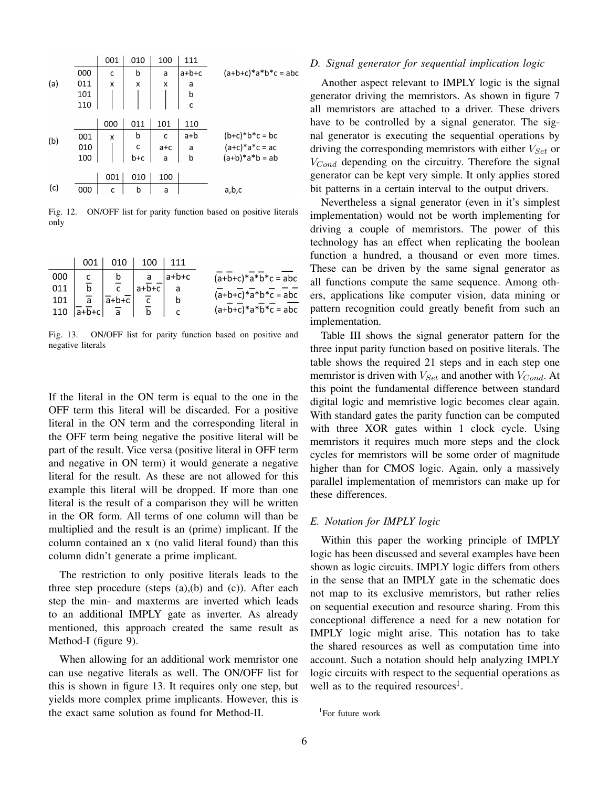|     |     | 001 | 010          | 100     | 111          |                       |
|-----|-----|-----|--------------|---------|--------------|-----------------------|
|     | 000 | c   | b            | a       | $a+b+c$      | $(a+b+c)*a*b*c = abc$ |
| (a) | 011 | X   | X            | X       | a            |                       |
|     | 101 |     |              |         | b            |                       |
|     | 110 |     |              |         | $\mathsf{C}$ |                       |
|     |     |     |              |         |              |                       |
|     |     | 000 | 011          | 101     | 110          |                       |
| (b) | 001 | X   | b            | c       | a+b          | $(b+c)*b*c = bc$      |
|     | 010 |     | $\mathsf{C}$ | $a + c$ | a            | $(a+c)*a*c = ac$      |
|     | 100 |     | b+c          | a       | b            | $(a+b)*a*b = ab$      |
|     |     |     |              |         |              |                       |
|     |     | 001 | 010          | 100     |              |                       |
| (c) | 000 | C   | b            | a       |              | a,b,c                 |

Fig. 12. ON/OFF list for parity function based on positive literals only

|     | 001                                 | 010                               | 100     |              |                       |
|-----|-------------------------------------|-----------------------------------|---------|--------------|-----------------------|
| 000 |                                     | b                                 |         | $a+b+c$      | $(a+b+c)*a*b*c = abc$ |
| 011 |                                     |                                   | $a+b+c$ |              |                       |
| 101 | $\overline{a}$                      | $\overline{a}$ +b+ $\overline{c}$ |         |              | $(a+b+c)*a*b*c = abc$ |
| 110 | $ \overline{a} + \overline{b} + c $ | a                                 | b       | $\mathsf{C}$ | $(a+b+c)*a*b*c = abc$ |

Fig. 13. ON/OFF list for parity function based on positive and negative literals

If the literal in the ON term is equal to the one in the OFF term this literal will be discarded. For a positive literal in the ON term and the corresponding literal in the OFF term being negative the positive literal will be part of the result. Vice versa (positive literal in OFF term and negative in ON term) it would generate a negative literal for the result. As these are not allowed for this example this literal will be dropped. If more than one literal is the result of a comparison they will be written in the OR form. All terms of one column will than be multiplied and the result is an (prime) implicant. If the column contained an x (no valid literal found) than this column didn't generate a prime implicant.

The restriction to only positive literals leads to the three step procedure (steps (a),(b) and (c)). After each step the min- and maxterms are inverted which leads to an additional IMPLY gate as inverter. As already mentioned, this approach created the same result as Method-I (figure 9).

When allowing for an additional work memristor one can use negative literals as well. The ON/OFF list for this is shown in figure 13. It requires only one step, but yields more complex prime implicants. However, this is the exact same solution as found for Method-II.

#### *D. Signal generator for sequential implication logic*

Another aspect relevant to IMPLY logic is the signal generator driving the memristors. As shown in figure 7 all memristors are attached to a driver. These drivers have to be controlled by a signal generator. The signal generator is executing the sequential operations by driving the corresponding memristors with either  $V_{Set}$  or  $V_{Cond}$  depending on the circuitry. Therefore the signal generator can be kept very simple. It only applies stored bit patterns in a certain interval to the output drivers.

Nevertheless a signal generator (even in it's simplest implementation) would not be worth implementing for driving a couple of memristors. The power of this technology has an effect when replicating the boolean function a hundred, a thousand or even more times. These can be driven by the same signal generator as all functions compute the same sequence. Among others, applications like computer vision, data mining or pattern recognition could greatly benefit from such an implementation.

Table III shows the signal generator pattern for the three input parity function based on positive literals. The table shows the required 21 steps and in each step one memristor is driven with  $V_{Set}$  and another with  $V_{Cond}$ . At this point the fundamental difference between standard digital logic and memristive logic becomes clear again. With standard gates the parity function can be computed with three XOR gates within 1 clock cycle. Using memristors it requires much more steps and the clock cycles for memristors will be some order of magnitude higher than for CMOS logic. Again, only a massively parallel implementation of memristors can make up for these differences.

#### *E. Notation for IMPLY logic*

Within this paper the working principle of IMPLY logic has been discussed and several examples have been shown as logic circuits. IMPLY logic differs from others in the sense that an IMPLY gate in the schematic does not map to its exclusive memristors, but rather relies on sequential execution and resource sharing. From this conceptional difference a need for a new notation for IMPLY logic might arise. This notation has to take the shared resources as well as computation time into account. Such a notation should help analyzing IMPLY logic circuits with respect to the sequential operations as well as to the required resources<sup>1</sup>.

<sup>1</sup> For future work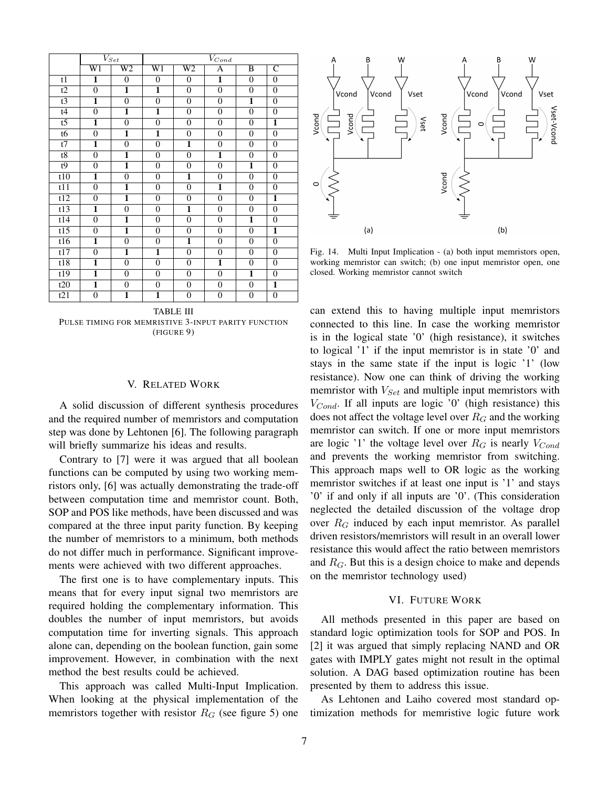|                 | $V_{Set}$               |                         | $V_{Cond}$              |                         |                         |                         |                         |  |
|-----------------|-------------------------|-------------------------|-------------------------|-------------------------|-------------------------|-------------------------|-------------------------|--|
|                 | W1                      | W2                      | $\overline{\text{W1}}$  | $\overline{\text{W2}}$  | A                       | B                       | $\overline{\text{C}}$   |  |
| t1              | 1                       | $\mathbf{0}$            | $\boldsymbol{0}$        | $\boldsymbol{0}$        | $\overline{\mathbf{1}}$ | $\overline{0}$          | $\boldsymbol{0}$        |  |
| $\overline{t2}$ | $\overline{0}$          | $\overline{\mathbf{1}}$ | $\overline{\mathbf{1}}$ | $\boldsymbol{0}$        | $\overline{0}$          | $\overline{0}$          | $\overline{0}$          |  |
| t3              | $\overline{\mathbf{1}}$ | $\mathbf{0}$            | $\boldsymbol{0}$        | $\boldsymbol{0}$        | $\boldsymbol{0}$        | $\overline{\mathbf{1}}$ | $\boldsymbol{0}$        |  |
| t4              | $\overline{0}$          | $\overline{\mathbf{1}}$ | $\overline{\mathbf{1}}$ | $\boldsymbol{0}$        | $\overline{0}$          | $\overline{0}$          | $\overline{0}$          |  |
| $\overline{t}$  | 1                       | $\mathbf{0}$            | $\overline{0}$          | $\boldsymbol{0}$        | $\boldsymbol{0}$        | $\boldsymbol{0}$        | $\overline{\mathbf{1}}$ |  |
| $\overline{16}$ | $\overline{0}$          | $\overline{\mathbf{1}}$ | $\overline{\mathbf{1}}$ | $\overline{0}$          | $\overline{0}$          | $\overline{0}$          | $\overline{0}$          |  |
| t7              | 1                       | $\boldsymbol{0}$        | $\boldsymbol{0}$        | 1                       | $\boldsymbol{0}$        | $\boldsymbol{0}$        | $\boldsymbol{0}$        |  |
| t8              | $\overline{0}$          | $\overline{\mathbf{1}}$ | $\overline{0}$          | $\boldsymbol{0}$        | $\overline{\mathbf{1}}$ | $\overline{0}$          | $\overline{0}$          |  |
| t9              | $\overline{0}$          | $\overline{\mathbf{1}}$ | $\boldsymbol{0}$        | $\overline{0}$          | $\overline{0}$          | $\overline{\mathbf{1}}$ | $\overline{0}$          |  |
| t10             | $\overline{\mathbf{1}}$ | $\mathbf{0}$            | $\boldsymbol{0}$        | $\overline{\mathbf{1}}$ | $\overline{0}$          | $\overline{0}$          | $\boldsymbol{0}$        |  |
| t11             | $\overline{0}$          | $\overline{\mathbf{1}}$ | $\overline{0}$          | $\boldsymbol{0}$        | $\overline{\mathbf{1}}$ | $\boldsymbol{0}$        | $\boldsymbol{0}$        |  |
| t12             | $\overline{0}$          | 1                       | $\overline{0}$          | $\mathbf{0}$            | $\overline{0}$          | $\overline{0}$          | 1                       |  |
| t13             | $\overline{\mathbf{1}}$ | $\boldsymbol{0}$        | $\boldsymbol{0}$        | $\overline{1}$          | $\boldsymbol{0}$        | $\boldsymbol{0}$        | $\overline{0}$          |  |
| t14             | $\overline{0}$          | $\overline{\mathbf{1}}$ | $\boldsymbol{0}$        | $\boldsymbol{0}$        | $\boldsymbol{0}$        | $\overline{\mathbf{1}}$ | $\boldsymbol{0}$        |  |
| t15             | $\overline{0}$          | $\overline{\mathbf{1}}$ | $\overline{0}$          | $\boldsymbol{0}$        | $\boldsymbol{0}$        | $\boldsymbol{0}$        | $\overline{\mathbf{1}}$ |  |
| t16             | 1                       | $\mathbf{0}$            | $\overline{0}$          | $\overline{\mathbf{1}}$ | $\overline{0}$          | $\overline{0}$          | $\boldsymbol{0}$        |  |
| t17             | $\overline{0}$          | $\overline{\mathbf{1}}$ | $\overline{\mathbf{1}}$ | $\boldsymbol{0}$        | $\boldsymbol{0}$        | $\boldsymbol{0}$        | $\boldsymbol{0}$        |  |
| t18             | 1                       | $\mathbf{0}$            | $\boldsymbol{0}$        | $\boldsymbol{0}$        | 1                       | $\theta$                | $\overline{0}$          |  |
| t19             | $\overline{\mathbf{1}}$ | $\mathbf{0}$            | $\boldsymbol{0}$        | $\boldsymbol{0}$        | $\overline{0}$          | 1                       | $\overline{0}$          |  |
| t20             | $\overline{\mathbf{1}}$ | $\boldsymbol{0}$        | $\overline{0}$          | $\boldsymbol{0}$        | $\boldsymbol{0}$        | $\boldsymbol{0}$        | $\overline{\mathbf{1}}$ |  |
| t21             | $\overline{0}$          | $\overline{\mathbf{1}}$ | $\overline{\mathbf{1}}$ | $\overline{0}$          | $\boldsymbol{0}$        | $\overline{0}$          | $\boldsymbol{0}$        |  |

TABLE III PULSE TIMING FOR MEMRISTIVE 3-INPUT PARITY FUNCTION (FIGURE 9)

### V. RELATED WORK

A solid discussion of different synthesis procedures and the required number of memristors and computation step was done by Lehtonen [6]. The following paragraph will briefly summarize his ideas and results.

Contrary to [7] were it was argued that all boolean functions can be computed by using two working memristors only, [6] was actually demonstrating the trade-off between computation time and memristor count. Both, SOP and POS like methods, have been discussed and was compared at the three input parity function. By keeping the number of memristors to a minimum, both methods do not differ much in performance. Significant improvements were achieved with two different approaches.

The first one is to have complementary inputs. This means that for every input signal two memristors are required holding the complementary information. This doubles the number of input memristors, but avoids computation time for inverting signals. This approach alone can, depending on the boolean function, gain some improvement. However, in combination with the next method the best results could be achieved.

This approach was called Multi-Input Implication. When looking at the physical implementation of the memristors together with resistor  $R_G$  (see figure 5) one



Fig. 14. Multi Input Implication - (a) both input memristors open, working memristor can switch; (b) one input memristor open, one closed. Working memristor cannot switch

can extend this to having multiple input memristors connected to this line. In case the working memristor is in the logical state '0' (high resistance), it switches to logical '1' if the input memristor is in state '0' and stays in the same state if the input is logic '1' (low resistance). Now one can think of driving the working memristor with  $V_{Set}$  and multiple input memristors with  $V_{Cond}$ . If all inputs are logic '0' (high resistance) this does not affect the voltage level over  $R_G$  and the working memristor can switch. If one or more input memristors are logic '1' the voltage level over  $R_G$  is nearly  $V_{Cond}$ and prevents the working memristor from switching. This approach maps well to OR logic as the working memristor switches if at least one input is '1' and stays '0' if and only if all inputs are '0'. (This consideration neglected the detailed discussion of the voltage drop over  $R_G$  induced by each input memristor. As parallel driven resistors/memristors will result in an overall lower resistance this would affect the ratio between memristors and  $R_G$ . But this is a design choice to make and depends on the memristor technology used)

#### VI. FUTURE WORK

All methods presented in this paper are based on standard logic optimization tools for SOP and POS. In [2] it was argued that simply replacing NAND and OR gates with IMPLY gates might not result in the optimal solution. A DAG based optimization routine has been presented by them to address this issue.

As Lehtonen and Laiho covered most standard optimization methods for memristive logic future work